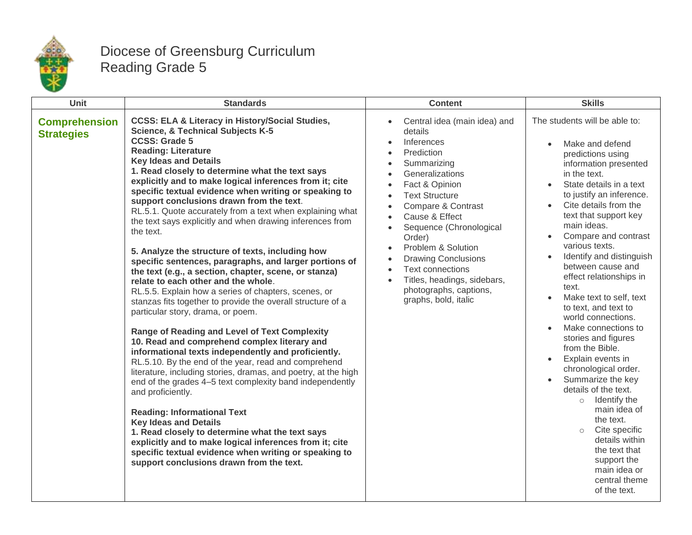

## Diocese of Greensburg Curriculum Reading Grade 5

| Unit                                      | <b>Standards</b>                                                                                                                                                                                                                                                                                                                                                                                                                                                                                                                                                                                                                                                                                                                                                                                                                                                                                                                                                                                                                                                                                                                                                                                                                                                                                                                                                                                                                                                                                                                                                                                        | <b>Content</b>                                                                                                                                                                                                                                                                                                                                                                                                                                                                                                                                                         | <b>Skills</b>                                                                                                                                                                                                                                                                                                                                                                                                                                                                                                                                                                                                                                                                                                                                                                                              |
|-------------------------------------------|---------------------------------------------------------------------------------------------------------------------------------------------------------------------------------------------------------------------------------------------------------------------------------------------------------------------------------------------------------------------------------------------------------------------------------------------------------------------------------------------------------------------------------------------------------------------------------------------------------------------------------------------------------------------------------------------------------------------------------------------------------------------------------------------------------------------------------------------------------------------------------------------------------------------------------------------------------------------------------------------------------------------------------------------------------------------------------------------------------------------------------------------------------------------------------------------------------------------------------------------------------------------------------------------------------------------------------------------------------------------------------------------------------------------------------------------------------------------------------------------------------------------------------------------------------------------------------------------------------|------------------------------------------------------------------------------------------------------------------------------------------------------------------------------------------------------------------------------------------------------------------------------------------------------------------------------------------------------------------------------------------------------------------------------------------------------------------------------------------------------------------------------------------------------------------------|------------------------------------------------------------------------------------------------------------------------------------------------------------------------------------------------------------------------------------------------------------------------------------------------------------------------------------------------------------------------------------------------------------------------------------------------------------------------------------------------------------------------------------------------------------------------------------------------------------------------------------------------------------------------------------------------------------------------------------------------------------------------------------------------------------|
| <b>Comprehension</b><br><b>Strategies</b> | <b>CCSS: ELA &amp; Literacy in History/Social Studies,</b><br><b>Science, &amp; Technical Subjects K-5</b><br><b>CCSS: Grade 5</b><br><b>Reading: Literature</b><br><b>Key Ideas and Details</b><br>1. Read closely to determine what the text says<br>explicitly and to make logical inferences from it; cite<br>specific textual evidence when writing or speaking to<br>support conclusions drawn from the text.<br>RL.5.1. Quote accurately from a text when explaining what<br>the text says explicitly and when drawing inferences from<br>the text.<br>5. Analyze the structure of texts, including how<br>specific sentences, paragraphs, and larger portions of<br>the text (e.g., a section, chapter, scene, or stanza)<br>relate to each other and the whole.<br>RL.5.5. Explain how a series of chapters, scenes, or<br>stanzas fits together to provide the overall structure of a<br>particular story, drama, or poem.<br><b>Range of Reading and Level of Text Complexity</b><br>10. Read and comprehend complex literary and<br>informational texts independently and proficiently.<br>RL.5.10. By the end of the year, read and comprehend<br>literature, including stories, dramas, and poetry, at the high<br>end of the grades 4-5 text complexity band independently<br>and proficiently.<br><b>Reading: Informational Text</b><br><b>Key Ideas and Details</b><br>1. Read closely to determine what the text says<br>explicitly and to make logical inferences from it; cite<br>specific textual evidence when writing or speaking to<br>support conclusions drawn from the text. | Central idea (main idea) and<br>details<br>Inferences<br>$\bullet$<br>Prediction<br>$\bullet$<br>Summarizing<br>$\bullet$<br>Generalizations<br>$\bullet$<br>Fact & Opinion<br>$\bullet$<br><b>Text Structure</b><br>$\bullet$<br>Compare & Contrast<br>$\bullet$<br>Cause & Effect<br>$\bullet$<br>Sequence (Chronological<br>$\bullet$<br>Order)<br>Problem & Solution<br>$\bullet$<br><b>Drawing Conclusions</b><br>$\bullet$<br><b>Text connections</b><br>$\bullet$<br>Titles, headings, sidebars,<br>$\bullet$<br>photographs, captions,<br>graphs, bold, italic | The students will be able to:<br>Make and defend<br>predictions using<br>information presented<br>in the text.<br>State details in a text<br>to justify an inference.<br>Cite details from the<br>text that support key<br>main ideas.<br>Compare and contrast<br>various texts.<br>Identify and distinguish<br>between cause and<br>effect relationships in<br>text.<br>Make text to self, text<br>to text, and text to<br>world connections.<br>Make connections to<br>stories and figures<br>from the Bible.<br>Explain events in<br>$\bullet$<br>chronological order.<br>Summarize the key<br>details of the text.<br>$\circ$ Identify the<br>main idea of<br>the text.<br>Cite specific<br>$\circ$<br>details within<br>the text that<br>support the<br>main idea or<br>central theme<br>of the text. |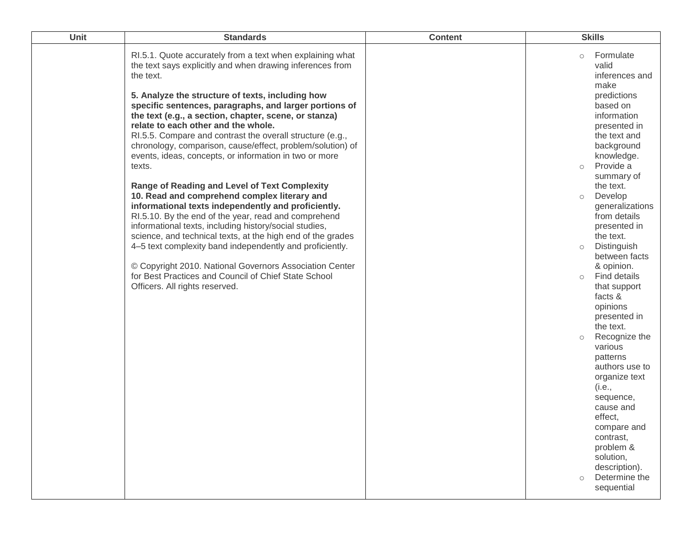| Unit | <b>Standards</b>                                                                                                                                                                                                                                                                                                                                                                                                                                                                                                                                                                                                                                                                                                                                                                                                                                                                                                                                                                                                                                                                                                  | <b>Content</b> | <b>Skills</b>                                                                                                                                                                                                                                                                                                                                                                                                                                                                                                                                                                                                                                                                                                        |
|------|-------------------------------------------------------------------------------------------------------------------------------------------------------------------------------------------------------------------------------------------------------------------------------------------------------------------------------------------------------------------------------------------------------------------------------------------------------------------------------------------------------------------------------------------------------------------------------------------------------------------------------------------------------------------------------------------------------------------------------------------------------------------------------------------------------------------------------------------------------------------------------------------------------------------------------------------------------------------------------------------------------------------------------------------------------------------------------------------------------------------|----------------|----------------------------------------------------------------------------------------------------------------------------------------------------------------------------------------------------------------------------------------------------------------------------------------------------------------------------------------------------------------------------------------------------------------------------------------------------------------------------------------------------------------------------------------------------------------------------------------------------------------------------------------------------------------------------------------------------------------------|
|      | RI.5.1. Quote accurately from a text when explaining what<br>the text says explicitly and when drawing inferences from<br>the text.<br>5. Analyze the structure of texts, including how<br>specific sentences, paragraphs, and larger portions of<br>the text (e.g., a section, chapter, scene, or stanza)<br>relate to each other and the whole.<br>RI.5.5. Compare and contrast the overall structure (e.g.,<br>chronology, comparison, cause/effect, problem/solution) of<br>events, ideas, concepts, or information in two or more<br>texts.<br><b>Range of Reading and Level of Text Complexity</b><br>10. Read and comprehend complex literary and<br>informational texts independently and proficiently.<br>RI.5.10. By the end of the year, read and comprehend<br>informational texts, including history/social studies,<br>science, and technical texts, at the high end of the grades<br>4–5 text complexity band independently and proficiently.<br>© Copyright 2010. National Governors Association Center<br>for Best Practices and Council of Chief State School<br>Officers. All rights reserved. |                | Formulate<br>$\circ$<br>valid<br>inferences and<br>make<br>predictions<br>based on<br>information<br>presented in<br>the text and<br>background<br>knowledge.<br>Provide a<br>$\circ$<br>summary of<br>the text.<br>Develop<br>$\circ$<br>generalizations<br>from details<br>presented in<br>the text.<br>Distinguish<br>$\circ$<br>between facts<br>& opinion.<br>Find details<br>$\circ$<br>that support<br>facts &<br>opinions<br>presented in<br>the text.<br>Recognize the<br>$\circ$<br>various<br>patterns<br>authors use to<br>organize text<br>(i.e.,<br>sequence,<br>cause and<br>effect,<br>compare and<br>contrast,<br>problem &<br>solution,<br>description).<br>Determine the<br>$\circ$<br>sequential |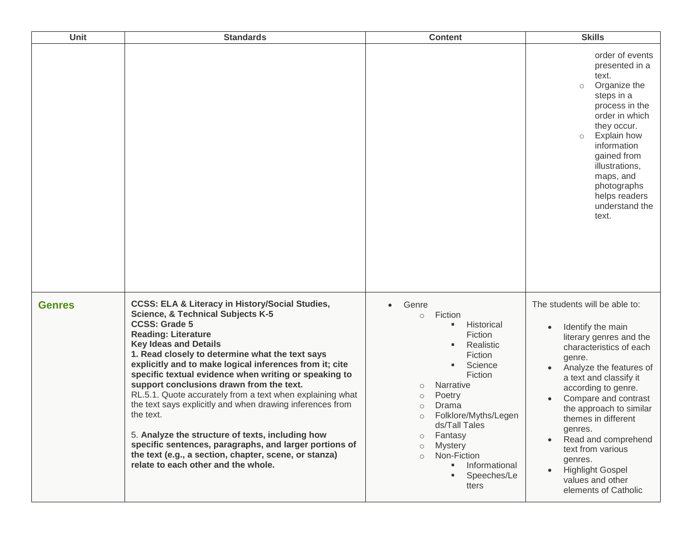| Unit          | <b>Standards</b>                                                                                                                                                                                                                                                                                                                                                                                                                                                                                                                                                                                                                                                                                                                                                         | <b>Content</b>                                                                                                                                                                                                                                                                                                                                                    | <b>Skills</b>                                                                                                                                                                                                                                                                                                                                                                                                     |
|---------------|--------------------------------------------------------------------------------------------------------------------------------------------------------------------------------------------------------------------------------------------------------------------------------------------------------------------------------------------------------------------------------------------------------------------------------------------------------------------------------------------------------------------------------------------------------------------------------------------------------------------------------------------------------------------------------------------------------------------------------------------------------------------------|-------------------------------------------------------------------------------------------------------------------------------------------------------------------------------------------------------------------------------------------------------------------------------------------------------------------------------------------------------------------|-------------------------------------------------------------------------------------------------------------------------------------------------------------------------------------------------------------------------------------------------------------------------------------------------------------------------------------------------------------------------------------------------------------------|
|               |                                                                                                                                                                                                                                                                                                                                                                                                                                                                                                                                                                                                                                                                                                                                                                          |                                                                                                                                                                                                                                                                                                                                                                   | order of events<br>presented in a<br>text.<br>Organize the<br>$\circ$<br>steps in a<br>process in the<br>order in which<br>they occur.<br>Explain how<br>$\circ$<br>information<br>gained from<br>illustrations,<br>maps, and<br>photographs<br>helps readers<br>understand the<br>text.                                                                                                                          |
| <b>Genres</b> | <b>CCSS: ELA &amp; Literacy in History/Social Studies,</b><br><b>Science, &amp; Technical Subjects K-5</b><br><b>CCSS: Grade 5</b><br><b>Reading: Literature</b><br><b>Key Ideas and Details</b><br>1. Read closely to determine what the text says<br>explicitly and to make logical inferences from it; cite<br>specific textual evidence when writing or speaking to<br>support conclusions drawn from the text.<br>RL.5.1. Quote accurately from a text when explaining what<br>the text says explicitly and when drawing inferences from<br>the text.<br>5. Analyze the structure of texts, including how<br>specific sentences, paragraphs, and larger portions of<br>the text (e.g., a section, chapter, scene, or stanza)<br>relate to each other and the whole. | Genre<br>$\bullet$<br>Fiction<br>$\circ$<br>Historical<br>٠<br>Fiction<br>Realistic<br>Fiction<br>Science<br>Fiction<br>Narrative<br>$\circ$<br>Poetry<br>$\circ$<br>Drama<br>$\circ$<br>Folklore/Myths/Legen<br>$\circ$<br>ds/Tall Tales<br>Fantasy<br>$\circ$<br><b>Mystery</b><br>$\circ$<br>Non-Fiction<br>$\bigcap$<br>Informational<br>Speeches/Le<br>tters | The students will be able to:<br>Identify the main<br>literary genres and the<br>characteristics of each<br>genre.<br>Analyze the features of<br>a text and classify it<br>according to genre.<br>Compare and contrast<br>the approach to similar<br>themes in different<br>genres.<br>Read and comprehend<br>text from various<br>genres.<br><b>Highlight Gospel</b><br>values and other<br>elements of Catholic |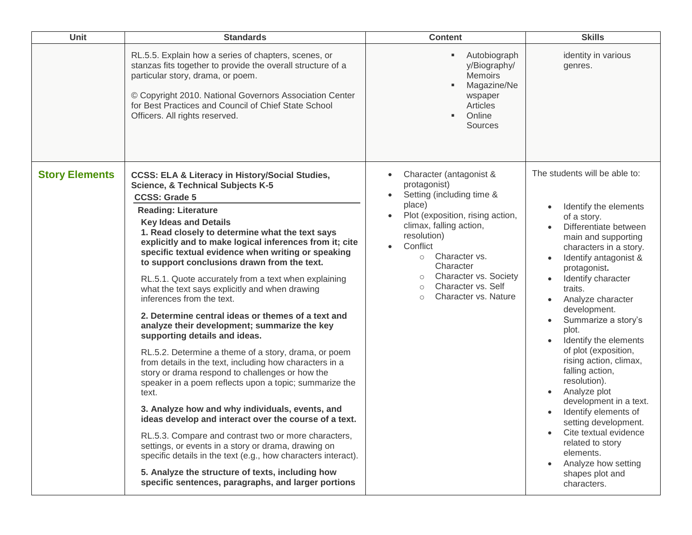| Unit                  | <b>Standards</b>                                                                                                                                                                                                                                                                                                                                                                                                                                                                                                                                                                                                                                                                                                                                                                                                                                                                                                                                                                                                                                                                                                                                                                                                                                                                                                                                  | <b>Content</b>                                                                                                                                                                                                                                                                                                            | <b>Skills</b>                                                                                                                                                                                                                                                                                                                                                                                                                                                                                                                                                                                                                                                                              |
|-----------------------|---------------------------------------------------------------------------------------------------------------------------------------------------------------------------------------------------------------------------------------------------------------------------------------------------------------------------------------------------------------------------------------------------------------------------------------------------------------------------------------------------------------------------------------------------------------------------------------------------------------------------------------------------------------------------------------------------------------------------------------------------------------------------------------------------------------------------------------------------------------------------------------------------------------------------------------------------------------------------------------------------------------------------------------------------------------------------------------------------------------------------------------------------------------------------------------------------------------------------------------------------------------------------------------------------------------------------------------------------|---------------------------------------------------------------------------------------------------------------------------------------------------------------------------------------------------------------------------------------------------------------------------------------------------------------------------|--------------------------------------------------------------------------------------------------------------------------------------------------------------------------------------------------------------------------------------------------------------------------------------------------------------------------------------------------------------------------------------------------------------------------------------------------------------------------------------------------------------------------------------------------------------------------------------------------------------------------------------------------------------------------------------------|
|                       | RL.5.5. Explain how a series of chapters, scenes, or<br>stanzas fits together to provide the overall structure of a<br>particular story, drama, or poem.<br>© Copyright 2010. National Governors Association Center<br>for Best Practices and Council of Chief State School<br>Officers. All rights reserved.                                                                                                                                                                                                                                                                                                                                                                                                                                                                                                                                                                                                                                                                                                                                                                                                                                                                                                                                                                                                                                     | Autobiograph<br>y/Biography/<br><b>Memoirs</b><br>Magazine/Ne<br>wspaper<br>Articles<br>Online<br><b>Sources</b>                                                                                                                                                                                                          | identity in various<br>genres.                                                                                                                                                                                                                                                                                                                                                                                                                                                                                                                                                                                                                                                             |
| <b>Story Elements</b> | <b>CCSS: ELA &amp; Literacy in History/Social Studies,</b><br><b>Science, &amp; Technical Subjects K-5</b><br><b>CCSS: Grade 5</b><br><b>Reading: Literature</b><br><b>Key Ideas and Details</b><br>1. Read closely to determine what the text says<br>explicitly and to make logical inferences from it; cite<br>specific textual evidence when writing or speaking<br>to support conclusions drawn from the text.<br>RL.5.1. Quote accurately from a text when explaining<br>what the text says explicitly and when drawing<br>inferences from the text.<br>2. Determine central ideas or themes of a text and<br>analyze their development; summarize the key<br>supporting details and ideas.<br>RL.5.2. Determine a theme of a story, drama, or poem<br>from details in the text, including how characters in a<br>story or drama respond to challenges or how the<br>speaker in a poem reflects upon a topic; summarize the<br>text.<br>3. Analyze how and why individuals, events, and<br>ideas develop and interact over the course of a text.<br>RL.5.3. Compare and contrast two or more characters,<br>settings, or events in a story or drama, drawing on<br>specific details in the text (e.g., how characters interact).<br>5. Analyze the structure of texts, including how<br>specific sentences, paragraphs, and larger portions | Character (antagonist &<br>protagonist)<br>Setting (including time &<br>place)<br>Plot (exposition, rising action,<br>climax, falling action,<br>resolution)<br>Conflict<br>Character vs.<br>$\circ$<br>Character<br>Character vs. Society<br>$\circ$<br>Character vs. Self<br>$\circ$<br>Character vs. Nature<br>$\circ$ | The students will be able to:<br>Identify the elements<br>$\bullet$<br>of a story.<br>Differentiate between<br>main and supporting<br>characters in a story.<br>Identify antagonist &<br>$\bullet$<br>protagonist.<br>Identify character<br>traits.<br>Analyze character<br>$\bullet$<br>development.<br>Summarize a story's<br>$\bullet$<br>plot.<br>Identify the elements<br>$\bullet$<br>of plot (exposition,<br>rising action, climax,<br>falling action,<br>resolution).<br>Analyze plot<br>development in a text.<br>Identify elements of<br>setting development.<br>Cite textual evidence<br>related to story<br>elements.<br>Analyze how setting<br>shapes plot and<br>characters. |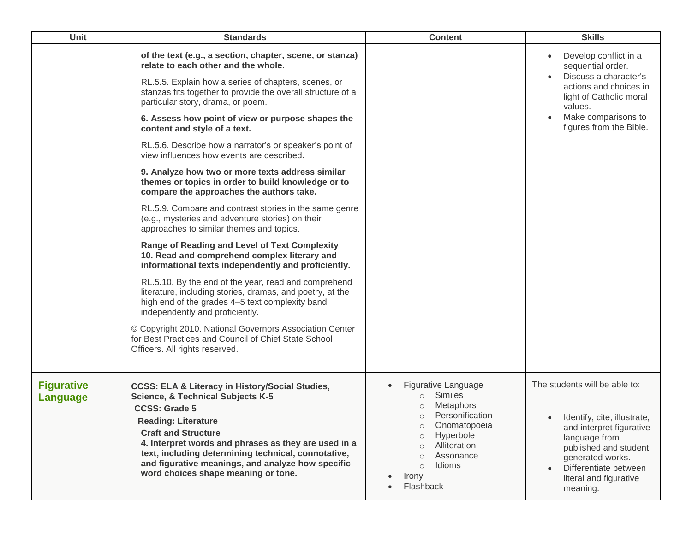| Unit                          | <b>Standards</b>                                                                                                                                                                                                                                                                                                 | <b>Content</b>                                                                                                                                           | <b>Skills</b>                                                                                                                                              |
|-------------------------------|------------------------------------------------------------------------------------------------------------------------------------------------------------------------------------------------------------------------------------------------------------------------------------------------------------------|----------------------------------------------------------------------------------------------------------------------------------------------------------|------------------------------------------------------------------------------------------------------------------------------------------------------------|
|                               | of the text (e.g., a section, chapter, scene, or stanza)<br>relate to each other and the whole.<br>RL.5.5. Explain how a series of chapters, scenes, or<br>stanzas fits together to provide the overall structure of a<br>particular story, drama, or poem.<br>6. Assess how point of view or purpose shapes the |                                                                                                                                                          | Develop conflict in a<br>sequential order.<br>Discuss a character's<br>actions and choices in<br>light of Catholic moral<br>values.<br>Make comparisons to |
|                               | content and style of a text.<br>RL.5.6. Describe how a narrator's or speaker's point of                                                                                                                                                                                                                          |                                                                                                                                                          | figures from the Bible.                                                                                                                                    |
|                               | view influences how events are described.                                                                                                                                                                                                                                                                        |                                                                                                                                                          |                                                                                                                                                            |
|                               | 9. Analyze how two or more texts address similar<br>themes or topics in order to build knowledge or to<br>compare the approaches the authors take.                                                                                                                                                               |                                                                                                                                                          |                                                                                                                                                            |
|                               | RL.5.9. Compare and contrast stories in the same genre<br>(e.g., mysteries and adventure stories) on their<br>approaches to similar themes and topics.                                                                                                                                                           |                                                                                                                                                          |                                                                                                                                                            |
|                               | <b>Range of Reading and Level of Text Complexity</b><br>10. Read and comprehend complex literary and<br>informational texts independently and proficiently.                                                                                                                                                      |                                                                                                                                                          |                                                                                                                                                            |
|                               | RL.5.10. By the end of the year, read and comprehend<br>literature, including stories, dramas, and poetry, at the<br>high end of the grades 4-5 text complexity band<br>independently and proficiently.                                                                                                          |                                                                                                                                                          |                                                                                                                                                            |
|                               | © Copyright 2010. National Governors Association Center<br>for Best Practices and Council of Chief State School<br>Officers. All rights reserved.                                                                                                                                                                |                                                                                                                                                          |                                                                                                                                                            |
| <b>Figurative</b><br>Language | <b>CCSS: ELA &amp; Literacy in History/Social Studies,</b><br><b>Science, &amp; Technical Subjects K-5</b><br><b>CCSS: Grade 5</b><br><b>Reading: Literature</b><br><b>Craft and Structure</b><br>4. Interpret words and phrases as they are used in a                                                           | Figurative Language<br><b>Similes</b><br>$\circ$<br><b>Metaphors</b><br>Personification<br>$\circ$<br>Onomatopoeia<br>$\circ$<br>Hyperbole<br>$\bigcirc$ | The students will be able to:<br>Identify, cite, illustrate,<br>and interpret figurative<br>language from                                                  |
|                               | text, including determining technical, connotative,<br>and figurative meanings, and analyze how specific<br>word choices shape meaning or tone.                                                                                                                                                                  | Alliteration<br>$\circ$<br>Assonance<br>$\circ$<br>Idioms<br>$\circ$<br>Irony<br>Flashback                                                               | published and student<br>generated works.<br>Differentiate between<br>literal and figurative<br>meaning.                                                   |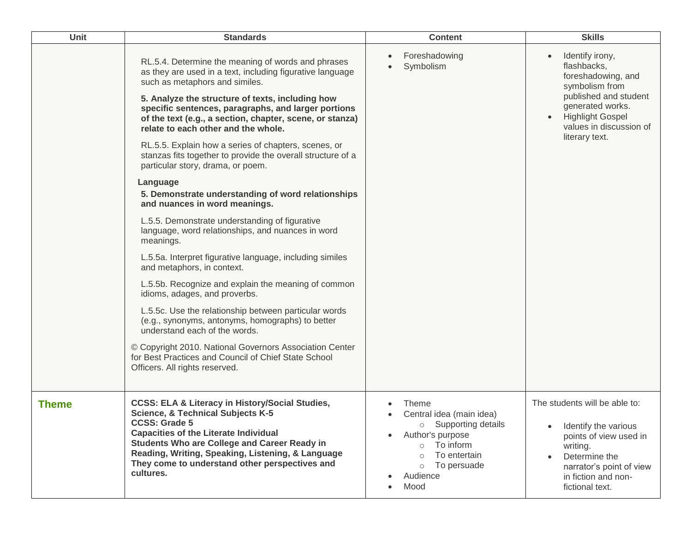| Unit         | <b>Standards</b>                                                                                                                                                                                                                                                                                                                                                                                                                                                                                                                                                                                                                                                                                                                                                                                                                                                                                                                                                                                                                                                                   | <b>Content</b>                                                                                                                                                                                            | <b>Skills</b>                                                                                                                                                                                                         |
|--------------|------------------------------------------------------------------------------------------------------------------------------------------------------------------------------------------------------------------------------------------------------------------------------------------------------------------------------------------------------------------------------------------------------------------------------------------------------------------------------------------------------------------------------------------------------------------------------------------------------------------------------------------------------------------------------------------------------------------------------------------------------------------------------------------------------------------------------------------------------------------------------------------------------------------------------------------------------------------------------------------------------------------------------------------------------------------------------------|-----------------------------------------------------------------------------------------------------------------------------------------------------------------------------------------------------------|-----------------------------------------------------------------------------------------------------------------------------------------------------------------------------------------------------------------------|
|              | RL.5.4. Determine the meaning of words and phrases<br>as they are used in a text, including figurative language<br>such as metaphors and similes.<br>5. Analyze the structure of texts, including how<br>specific sentences, paragraphs, and larger portions<br>of the text (e.g., a section, chapter, scene, or stanza)<br>relate to each other and the whole.<br>RL.5.5. Explain how a series of chapters, scenes, or<br>stanzas fits together to provide the overall structure of a<br>particular story, drama, or poem.<br>Language<br>5. Demonstrate understanding of word relationships<br>and nuances in word meanings.<br>L.5.5. Demonstrate understanding of figurative<br>language, word relationships, and nuances in word<br>meanings.<br>L.5.5a. Interpret figurative language, including similes<br>and metaphors, in context.<br>L.5.5b. Recognize and explain the meaning of common<br>idioms, adages, and proverbs.<br>L.5.5c. Use the relationship between particular words<br>(e.g., synonyms, antonyms, homographs) to better<br>understand each of the words. | Foreshadowing<br>Symbolism                                                                                                                                                                                | Identify irony,<br>$\bullet$<br>flashbacks,<br>foreshadowing, and<br>symbolism from<br>published and student<br>generated works.<br><b>Highlight Gospel</b><br>$\bullet$<br>values in discussion of<br>literary text. |
|              | © Copyright 2010. National Governors Association Center<br>for Best Practices and Council of Chief State School<br>Officers. All rights reserved.                                                                                                                                                                                                                                                                                                                                                                                                                                                                                                                                                                                                                                                                                                                                                                                                                                                                                                                                  |                                                                                                                                                                                                           |                                                                                                                                                                                                                       |
| <b>Theme</b> | <b>CCSS: ELA &amp; Literacy in History/Social Studies,</b><br><b>Science, &amp; Technical Subjects K-5</b><br><b>CCSS: Grade 5</b><br><b>Capacities of the Literate Individual</b><br><b>Students Who are College and Career Ready in</b><br>Reading, Writing, Speaking, Listening, & Language<br>They come to understand other perspectives and<br>cultures.                                                                                                                                                                                                                                                                                                                                                                                                                                                                                                                                                                                                                                                                                                                      | Theme<br>Central idea (main idea)<br>○ Supporting details<br>Author's purpose<br>$\bullet$<br>To inform<br>$\circ$<br>To entertain<br>$\Omega$<br>To persuade<br>$\circ$<br>Audience<br>$\bullet$<br>Mood | The students will be able to:<br>Identify the various<br>points of view used in<br>writing.<br>Determine the<br>$\bullet$<br>narrator's point of view<br>in fiction and non-<br>fictional text.                       |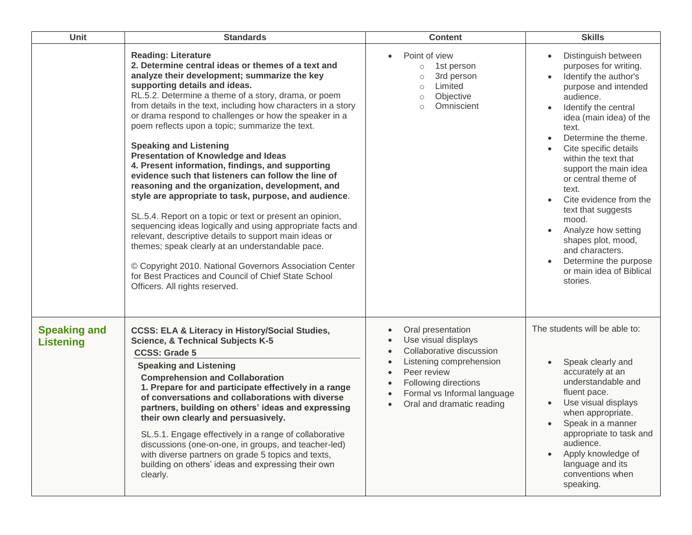| Unit                                    | <b>Standards</b>                                                                                                                                                                                                                                                                                                                                                                                                                                                                                                                                                                                                                                                                                                                                                                                                                                                                                                                                                                                                                                                                                            | <b>Content</b>                                                                                                                                                                                                                                                                                             | <b>Skills</b>                                                                                                                                                                                                                                                                                                                                                                                                                                                                                                                |
|-----------------------------------------|-------------------------------------------------------------------------------------------------------------------------------------------------------------------------------------------------------------------------------------------------------------------------------------------------------------------------------------------------------------------------------------------------------------------------------------------------------------------------------------------------------------------------------------------------------------------------------------------------------------------------------------------------------------------------------------------------------------------------------------------------------------------------------------------------------------------------------------------------------------------------------------------------------------------------------------------------------------------------------------------------------------------------------------------------------------------------------------------------------------|------------------------------------------------------------------------------------------------------------------------------------------------------------------------------------------------------------------------------------------------------------------------------------------------------------|------------------------------------------------------------------------------------------------------------------------------------------------------------------------------------------------------------------------------------------------------------------------------------------------------------------------------------------------------------------------------------------------------------------------------------------------------------------------------------------------------------------------------|
|                                         | <b>Reading: Literature</b><br>2. Determine central ideas or themes of a text and<br>analyze their development; summarize the key<br>supporting details and ideas.<br>RL.5.2. Determine a theme of a story, drama, or poem<br>from details in the text, including how characters in a story<br>or drama respond to challenges or how the speaker in a<br>poem reflects upon a topic; summarize the text.<br><b>Speaking and Listening</b><br><b>Presentation of Knowledge and Ideas</b><br>4. Present information, findings, and supporting<br>evidence such that listeners can follow the line of<br>reasoning and the organization, development, and<br>style are appropriate to task, purpose, and audience.<br>SL.5.4. Report on a topic or text or present an opinion,<br>sequencing ideas logically and using appropriate facts and<br>relevant, descriptive details to support main ideas or<br>themes; speak clearly at an understandable pace.<br>© Copyright 2010. National Governors Association Center<br>for Best Practices and Council of Chief State School<br>Officers. All rights reserved. | Point of view<br>$\bullet$<br>1st person<br>$\circ$<br>3rd person<br>$\circ$<br>Limited<br>$\circ$<br>Objective<br>$\circ$<br>Omniscient<br>$\circ$                                                                                                                                                        | Distinguish between<br>purposes for writing.<br>Identify the author's<br>purpose and intended<br>audience.<br>Identify the central<br>idea (main idea) of the<br>text.<br>Determine the theme.<br>$\bullet$<br>Cite specific details<br>within the text that<br>support the main idea<br>or central theme of<br>text.<br>Cite evidence from the<br>text that suggests<br>mood.<br>Analyze how setting<br>$\bullet$<br>shapes plot, mood,<br>and characters.<br>Determine the purpose<br>or main idea of Biblical<br>stories. |
| <b>Speaking and</b><br><b>Listening</b> | <b>CCSS: ELA &amp; Literacy in History/Social Studies,</b><br><b>Science, &amp; Technical Subjects K-5</b><br><b>CCSS: Grade 5</b><br><b>Speaking and Listening</b><br><b>Comprehension and Collaboration</b><br>1. Prepare for and participate effectively in a range<br>of conversations and collaborations with diverse<br>partners, building on others' ideas and expressing<br>their own clearly and persuasively.<br>SL.5.1. Engage effectively in a range of collaborative<br>discussions (one-on-one, in groups, and teacher-led)<br>with diverse partners on grade 5 topics and texts,<br>building on others' ideas and expressing their own<br>clearly.                                                                                                                                                                                                                                                                                                                                                                                                                                           | Oral presentation<br>$\bullet$<br>Use visual displays<br>$\bullet$<br>Collaborative discussion<br>$\bullet$<br>Listening comprehension<br>$\bullet$<br>Peer review<br>$\bullet$<br>Following directions<br>$\bullet$<br>Formal vs Informal language<br>$\bullet$<br>Oral and dramatic reading<br>$\bullet$ | The students will be able to:<br>Speak clearly and<br>$\bullet$<br>accurately at an<br>understandable and<br>fluent pace.<br>Use visual displays<br>when appropriate.<br>Speak in a manner<br>appropriate to task and<br>audience.<br>Apply knowledge of<br>language and its<br>conventions when<br>speaking.                                                                                                                                                                                                                |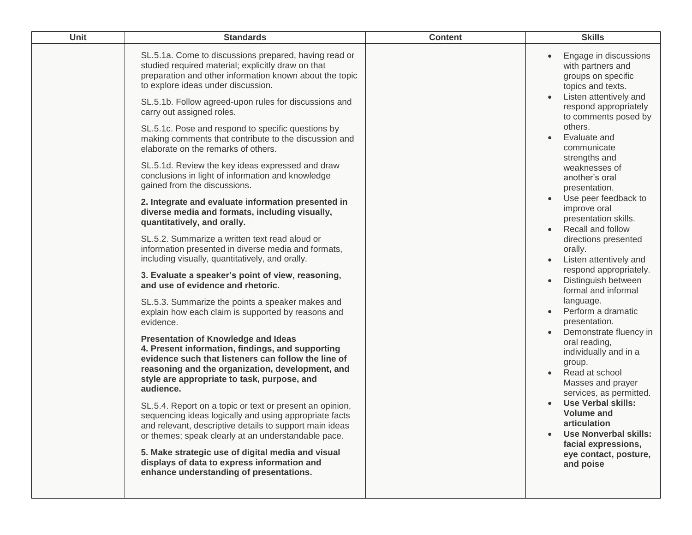| Unit | <b>Standards</b>                                                                                                                                                                                                                                                                                                                                                                                                                                                                                                                                                                                                                                                                                                                                                                                                                                                                                                                                                                                                                                                                                                                                                                                                                                                                                                                                                                                                                                                                                                                                                                                                                                                                                                                                                                      | <b>Content</b> | <b>Skills</b>                                                                                                                                                                                                                                                                                                                                                                                                                                                                                                                                                                                                                                                                                                                                                                                                                                                                |
|------|---------------------------------------------------------------------------------------------------------------------------------------------------------------------------------------------------------------------------------------------------------------------------------------------------------------------------------------------------------------------------------------------------------------------------------------------------------------------------------------------------------------------------------------------------------------------------------------------------------------------------------------------------------------------------------------------------------------------------------------------------------------------------------------------------------------------------------------------------------------------------------------------------------------------------------------------------------------------------------------------------------------------------------------------------------------------------------------------------------------------------------------------------------------------------------------------------------------------------------------------------------------------------------------------------------------------------------------------------------------------------------------------------------------------------------------------------------------------------------------------------------------------------------------------------------------------------------------------------------------------------------------------------------------------------------------------------------------------------------------------------------------------------------------|----------------|------------------------------------------------------------------------------------------------------------------------------------------------------------------------------------------------------------------------------------------------------------------------------------------------------------------------------------------------------------------------------------------------------------------------------------------------------------------------------------------------------------------------------------------------------------------------------------------------------------------------------------------------------------------------------------------------------------------------------------------------------------------------------------------------------------------------------------------------------------------------------|
|      | SL.5.1a. Come to discussions prepared, having read or<br>studied required material; explicitly draw on that<br>preparation and other information known about the topic<br>to explore ideas under discussion.<br>SL.5.1b. Follow agreed-upon rules for discussions and<br>carry out assigned roles.<br>SL.5.1c. Pose and respond to specific questions by<br>making comments that contribute to the discussion and<br>elaborate on the remarks of others.<br>SL.5.1d. Review the key ideas expressed and draw<br>conclusions in light of information and knowledge<br>gained from the discussions.<br>2. Integrate and evaluate information presented in<br>diverse media and formats, including visually,<br>quantitatively, and orally.<br>SL.5.2. Summarize a written text read aloud or<br>information presented in diverse media and formats,<br>including visually, quantitatively, and orally.<br>3. Evaluate a speaker's point of view, reasoning,<br>and use of evidence and rhetoric.<br>SL.5.3. Summarize the points a speaker makes and<br>explain how each claim is supported by reasons and<br>evidence.<br><b>Presentation of Knowledge and Ideas</b><br>4. Present information, findings, and supporting<br>evidence such that listeners can follow the line of<br>reasoning and the organization, development, and<br>style are appropriate to task, purpose, and<br>audience.<br>SL.5.4. Report on a topic or text or present an opinion,<br>sequencing ideas logically and using appropriate facts<br>and relevant, descriptive details to support main ideas<br>or themes; speak clearly at an understandable pace.<br>5. Make strategic use of digital media and visual<br>displays of data to express information and<br>enhance understanding of presentations. |                | Engage in discussions<br>with partners and<br>groups on specific<br>topics and texts.<br>Listen attentively and<br>respond appropriately<br>to comments posed by<br>others.<br>Evaluate and<br>communicate<br>strengths and<br>weaknesses of<br>another's oral<br>presentation.<br>Use peer feedback to<br>improve oral<br>presentation skills.<br>Recall and follow<br>directions presented<br>orally.<br>Listen attentively and<br>respond appropriately.<br>Distinguish between<br>formal and informal<br>language.<br>Perform a dramatic<br>presentation.<br>Demonstrate fluency in<br>oral reading,<br>individually and in a<br>group.<br>Read at school<br>Masses and prayer<br>services, as permitted.<br><b>Use Verbal skills:</b><br><b>Volume and</b><br>articulation<br><b>Use Nonverbal skills:</b><br>facial expressions,<br>eye contact, posture,<br>and poise |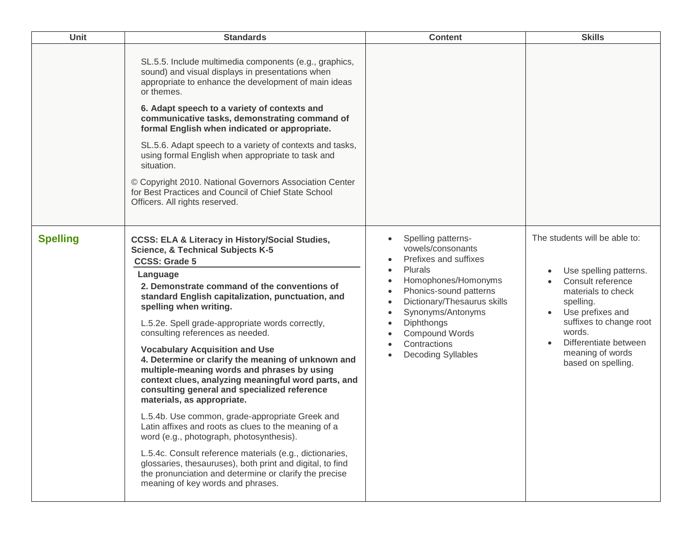| <b>Unit</b>     | <b>Standards</b>                                                                                                                                                                                                                                                                                                                                                                                                                                                                                                                                                                                                                                                                                                                                                                                                                                                                                                                                                                                                                        | <b>Content</b>                                                                                                                                                                                                                                                                                                                                                                                  | <b>Skills</b>                                                                                                                                                                                                                               |
|-----------------|-----------------------------------------------------------------------------------------------------------------------------------------------------------------------------------------------------------------------------------------------------------------------------------------------------------------------------------------------------------------------------------------------------------------------------------------------------------------------------------------------------------------------------------------------------------------------------------------------------------------------------------------------------------------------------------------------------------------------------------------------------------------------------------------------------------------------------------------------------------------------------------------------------------------------------------------------------------------------------------------------------------------------------------------|-------------------------------------------------------------------------------------------------------------------------------------------------------------------------------------------------------------------------------------------------------------------------------------------------------------------------------------------------------------------------------------------------|---------------------------------------------------------------------------------------------------------------------------------------------------------------------------------------------------------------------------------------------|
|                 | SL.5.5. Include multimedia components (e.g., graphics,<br>sound) and visual displays in presentations when<br>appropriate to enhance the development of main ideas<br>or themes.<br>6. Adapt speech to a variety of contexts and<br>communicative tasks, demonstrating command of<br>formal English when indicated or appropriate.<br>SL.5.6. Adapt speech to a variety of contexts and tasks,<br>using formal English when appropriate to task and<br>situation.<br>© Copyright 2010. National Governors Association Center<br>for Best Practices and Council of Chief State School<br>Officers. All rights reserved.                                                                                                                                                                                                                                                                                                                                                                                                                  |                                                                                                                                                                                                                                                                                                                                                                                                 |                                                                                                                                                                                                                                             |
| <b>Spelling</b> | <b>CCSS: ELA &amp; Literacy in History/Social Studies,</b><br><b>Science, &amp; Technical Subjects K-5</b><br><b>CCSS: Grade 5</b><br>Language<br>2. Demonstrate command of the conventions of<br>standard English capitalization, punctuation, and<br>spelling when writing.<br>L.5.2e. Spell grade-appropriate words correctly,<br>consulting references as needed.<br><b>Vocabulary Acquisition and Use</b><br>4. Determine or clarify the meaning of unknown and<br>multiple-meaning words and phrases by using<br>context clues, analyzing meaningful word parts, and<br>consulting general and specialized reference<br>materials, as appropriate.<br>L.5.4b. Use common, grade-appropriate Greek and<br>Latin affixes and roots as clues to the meaning of a<br>word (e.g., photograph, photosynthesis).<br>L.5.4c. Consult reference materials (e.g., dictionaries,<br>glossaries, thesauruses), both print and digital, to find<br>the pronunciation and determine or clarify the precise<br>meaning of key words and phrases. | Spelling patterns-<br>$\bullet$<br>vowels/consonants<br>Prefixes and suffixes<br>Plurals<br>$\bullet$<br>Homophones/Homonyms<br>$\bullet$<br>Phonics-sound patterns<br>$\bullet$<br>Dictionary/Thesaurus skills<br>$\bullet$<br>Synonyms/Antonyms<br>$\bullet$<br>Diphthongs<br>$\bullet$<br>Compound Words<br>$\bullet$<br>Contractions<br>$\bullet$<br><b>Decoding Syllables</b><br>$\bullet$ | The students will be able to:<br>Use spelling patterns.<br>Consult reference<br>materials to check<br>spelling.<br>Use prefixes and<br>suffixes to change root<br>words.<br>Differentiate between<br>meaning of words<br>based on spelling. |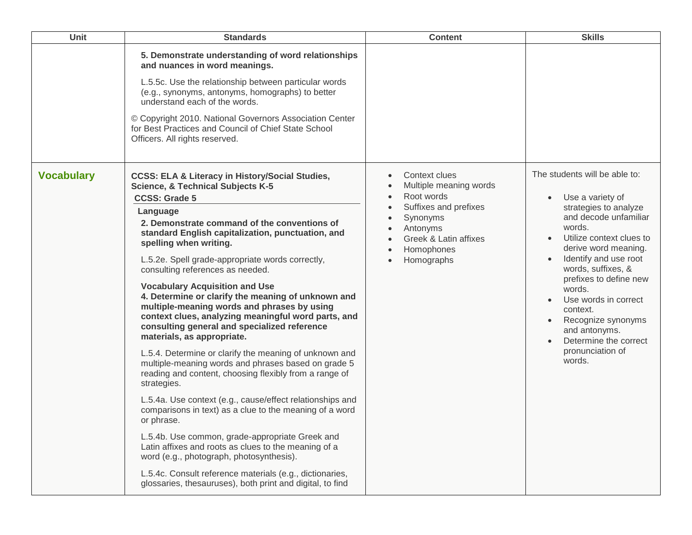| Unit              | <b>Standards</b>                                                                                                                                                                                                                                                                                                                                                                                                                                                                                                                                                                                                                                                                                                                                                                                                                                                                                                                                                                                                                                                                                                                                                                                                                                                         | <b>Content</b>                                                                                                                                                           | <b>Skills</b>                                                                                                                                                                                                                                                                                                                                                                          |
|-------------------|--------------------------------------------------------------------------------------------------------------------------------------------------------------------------------------------------------------------------------------------------------------------------------------------------------------------------------------------------------------------------------------------------------------------------------------------------------------------------------------------------------------------------------------------------------------------------------------------------------------------------------------------------------------------------------------------------------------------------------------------------------------------------------------------------------------------------------------------------------------------------------------------------------------------------------------------------------------------------------------------------------------------------------------------------------------------------------------------------------------------------------------------------------------------------------------------------------------------------------------------------------------------------|--------------------------------------------------------------------------------------------------------------------------------------------------------------------------|----------------------------------------------------------------------------------------------------------------------------------------------------------------------------------------------------------------------------------------------------------------------------------------------------------------------------------------------------------------------------------------|
|                   | 5. Demonstrate understanding of word relationships<br>and nuances in word meanings.<br>L.5.5c. Use the relationship between particular words<br>(e.g., synonyms, antonyms, homographs) to better<br>understand each of the words.<br>© Copyright 2010. National Governors Association Center<br>for Best Practices and Council of Chief State School<br>Officers. All rights reserved.                                                                                                                                                                                                                                                                                                                                                                                                                                                                                                                                                                                                                                                                                                                                                                                                                                                                                   |                                                                                                                                                                          |                                                                                                                                                                                                                                                                                                                                                                                        |
| <b>Vocabulary</b> | <b>CCSS: ELA &amp; Literacy in History/Social Studies,</b><br><b>Science, &amp; Technical Subjects K-5</b><br><b>CCSS: Grade 5</b><br>Language<br>2. Demonstrate command of the conventions of<br>standard English capitalization, punctuation, and<br>spelling when writing.<br>L.5.2e. Spell grade-appropriate words correctly,<br>consulting references as needed.<br><b>Vocabulary Acquisition and Use</b><br>4. Determine or clarify the meaning of unknown and<br>multiple-meaning words and phrases by using<br>context clues, analyzing meaningful word parts, and<br>consulting general and specialized reference<br>materials, as appropriate.<br>L.5.4. Determine or clarify the meaning of unknown and<br>multiple-meaning words and phrases based on grade 5<br>reading and content, choosing flexibly from a range of<br>strategies.<br>L.5.4a. Use context (e.g., cause/effect relationships and<br>comparisons in text) as a clue to the meaning of a word<br>or phrase.<br>L.5.4b. Use common, grade-appropriate Greek and<br>Latin affixes and roots as clues to the meaning of a<br>word (e.g., photograph, photosynthesis).<br>L.5.4c. Consult reference materials (e.g., dictionaries,<br>glossaries, thesauruses), both print and digital, to find | Context clues<br>Multiple meaning words<br>Root words<br>$\bullet$<br>Suffixes and prefixes<br>Synonyms<br>Antonyms<br>Greek & Latin affixes<br>Homophones<br>Homographs | The students will be able to:<br>Use a variety of<br>strategies to analyze<br>and decode unfamiliar<br>words.<br>Utilize context clues to<br>derive word meaning.<br>Identify and use root<br>words, suffixes, &<br>prefixes to define new<br>words.<br>Use words in correct<br>context.<br>Recognize synonyms<br>and antonyms.<br>Determine the correct<br>pronunciation of<br>words. |